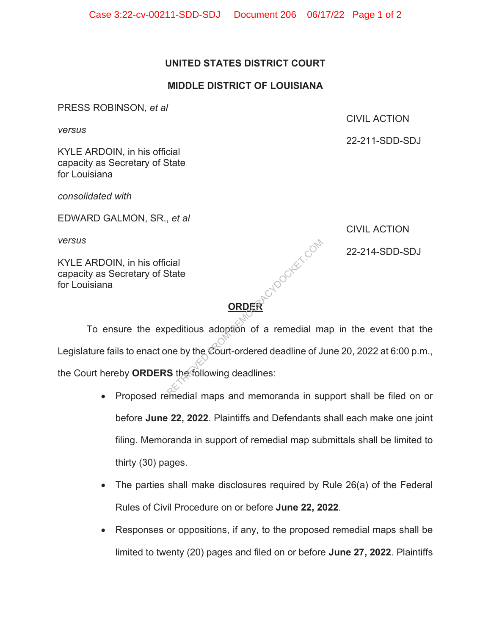## **UNITED STATES DISTRICT COURT**

## **MIDDLE DISTRICT OF LOUISIANA**

PRESS ROBINSON, *et al* 

*versus* 

CIVIL ACTION

22-211-SDD-SDJ

KYLE ARDOIN, in his official capacity as Secretary of State for Louisiana

*consolidated with* 

EDWARD GALMON, SR., *et al* 

*versus* 

KYLE ARDOIN, in his official capacity as Secretary of State for Louisiana

CIVIL ACTION

 $\mathbb{C}^{\mathbb{C}^2}$  and 22-214-SDD-SDJ

## **ORDER**

 To ensure the expeditious adoption of a remedial map in the event that the Legislature fails to enact one by the Court-ordered deadline of June 20, 2022 at 6:00 p.m., the Court hereby **ORDERS** the following deadlines: Cial<br>State<br>Deditious adoption of a remedial m<br>ne by the Court-ordered deadline of J<br>S the following deadlines:

- Proposed remedial maps and memoranda in support shall be filed on or before **June 22, 2022**. Plaintiffs and Defendants shall each make one joint filing. Memoranda in support of remedial map submittals shall be limited to thirty (30) pages.
- The parties shall make disclosures required by Rule 26(a) of the Federal Rules of Civil Procedure on or before **June 22, 2022**.
- Responses or oppositions, if any, to the proposed remedial maps shall be limited to twenty (20) pages and filed on or before **June 27, 2022**. Plaintiffs